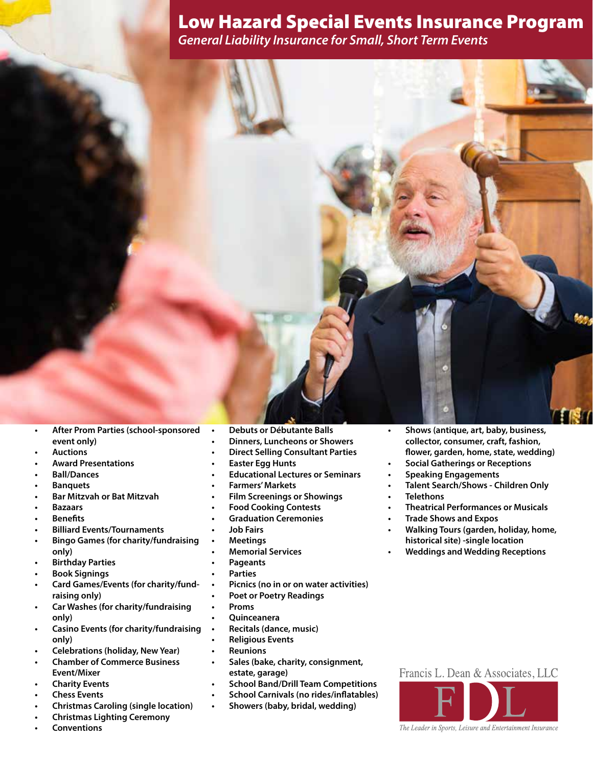*General Liability Insurance for Small, Short Term Events*



- **• After Prom Parties (school-sponsored event only)**
- **Auctions**
- **• Award Presentations**
- **Ball/Dances**
- **Banquets**
- **• Bar Mitzvah or Bat Mitzvah**
- **• Bazaars**
- **Benefits**
- **Billiard Events/Tournaments**
- **• Bingo Games (for charity/fundraising only)**
- **• Birthday Parties**
- **• Book Signings**
- **• Card Games/Events (for charity/fundraising only)**
- **• Car Washes (for charity/fundraising only)**
- **• Casino Events (for charity/fundraising only)**
- **• Celebrations (holiday, New Year)**
- **Chamber of Commerce Business Event/Mixer**
- **Charity Events**
- **• Chess Events**
- **• Christmas Caroling (single location)**
- **• Christmas Lighting Ceremony**
- **Conventions**
- **• Debuts or Débutante Balls**
- **• Dinners, Luncheons or Showers**
- **• Direct Selling Consultant Parties**
- **Easter Egg Hunts**
- **• Educational Lectures or Seminars**
- **Farmers' Markets**
- **• Film Screenings or Showings**
- **Food Cooking Contests**
- **Graduation Ceremonies**
- **• Job Fairs**
- **• Meetings**
- **• Memorial Services**
- **Pageants**
- **Parties**
- **• Picnics (no in or on water activities)**
- **• Poet or Poetry Readings**
- **• Proms**
- **• Quinceanera**
- **• Recitals (dance, music)**
- **• Religious Events**
- **• Reunions**
- **• Sales (bake, charity, consignment, estate, garage)**
- **• School Band/Drill Team Competitions**
- **• School Carnivals (no rides/inflatables)**
- **• Showers (baby, bridal, wedding)**
- **• Shows (antique, art, baby, business, collector, consumer, craft, fashion, flower, garden, home, state, wedding)**
- **• Social Gatherings or Receptions**
- **Speaking Engagements**
- **• Talent Search/Shows - Children Only**
- **• Telethons**
- **• Theatrical Performances or Musicals**
- **• Trade Shows and Expos**
- **• Walking Tours (garden, holiday, home, historical site) -single location**
- **• Weddings and Wedding Receptions**





The Leader in Sports, Leisure and Entertainment Insurance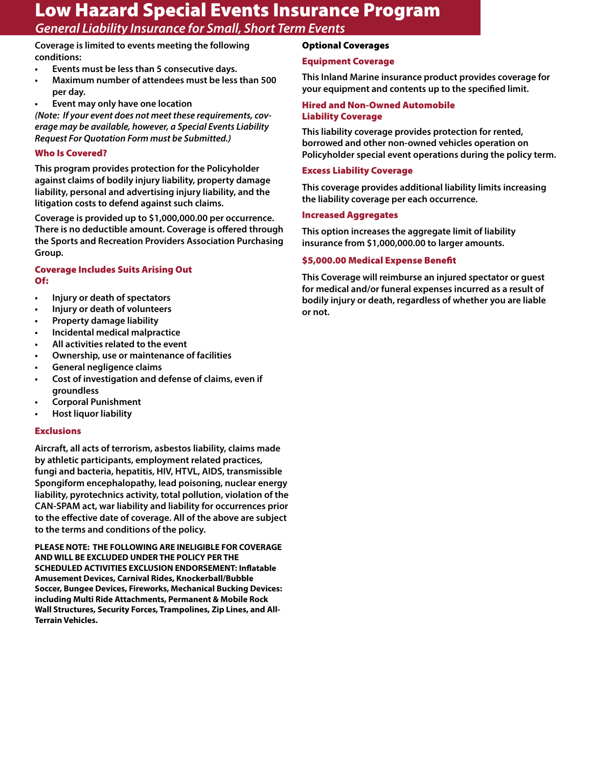*General Liability Insurance for Small, Short Term Events*

**Coverage is limited to events meeting the following conditions:**

- **• Events must be less than 5 consecutive days.**
- **• Maximum number of attendees must be less than 500 per day.**
- **Event may only have one location**

*(Note: If your event does not meet these requirements, coverage may be available, however, a Special Events Liability Request For Quotation Form must be Submitted.)*

## Who Is Covered?

**This program provides protection for the Policyholder against claims of bodily injury liability, property damage liability, personal and advertising injury liability, and the litigation costs to defend against such claims.**

**Coverage is provided up to \$1,000,000.00 per occurrence. There is no deductible amount. Coverage is offered through the Sports and Recreation Providers Association Purchasing Group.**

## Coverage Includes Suits Arising Out Of:

- **• Injury or death of spectators**
- **• Injury or death of volunteers**
- **• Property damage liability**
- **• Incidental medical malpractice**
- **• All activities related to the event**
- **• Ownership, use or maintenance of facilities**
- **• General negligence claims**
- **• Cost of investigation and defense of claims, even if groundless**
- **• Corporal Punishment**
- **• Host liquor liability**

### Exclusions

**Aircraft, all acts of terrorism, asbestos liability, claims made by athletic participants, employment related practices, fungi and bacteria, hepatitis, HIV, HTVL, AIDS, transmissible Spongiform encephalopathy, lead poisoning, nuclear energy liability, pyrotechnics activity, total pollution, violation of the CAN-SPAM act, war liability and liability for occurrences prior to the effective date of coverage. All of the above are subject to the terms and conditions of the policy.**

**PLEASE NOTE: THE FOLLOWING ARE INELIGIBLE FOR COVERAGE AND WILL BE EXCLUDED UNDER THE POLICY PER THE SCHEDULED ACTIVITIES EXCLUSION ENDORSEMENT: Inflatable Amusement Devices, Carnival Rides, Knockerball/Bubble Soccer, Bungee Devices, Fireworks, Mechanical Bucking Devices: including Multi Ride Attachments, Permanent & Mobile Rock Wall Structures, Security Forces, Trampolines, Zip Lines, and All-Terrain Vehicles.**

# Optional Coverages

#### Equipment Coverage

**This Inland Marine insurance product provides coverage for your equipment and contents up to the specified limit.**

### Hired and Non-Owned Automobile Liability Coverage

**This liability coverage provides protection for rented, borrowed and other non-owned vehicles operation on Policyholder special event operations during the policy term.**

#### Excess Liability Coverage

**This coverage provides additional liability limits increasing the liability coverage per each occurrence.**

#### Increased Aggregates

**This option increases the aggregate limit of liability insurance from \$1,000,000.00 to larger amounts.** 

### \$5,000.00 Medical Expense Benefit

**This Coverage will reimburse an injured spectator or guest for medical and/or funeral expenses incurred as a result of bodily injury or death, regardless of whether you are liable or not.**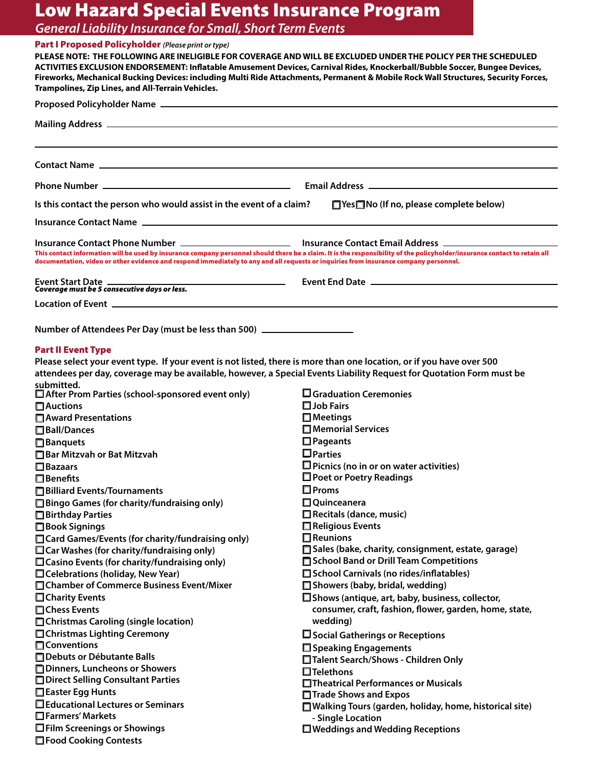*General Liability Insurance for Small, Short Term Events*

# Part I Proposed Policyholder *(Please print or type)*

| Fireworks, Mechanical Bucking Devices: including Multi Ride Attachments, Permanent & Mobile Rock Wall Structures, Security Forces,<br>Trampolines, Zip Lines, and All-Terrain Vehicles.<br>Is this contact the person who would assist in the event of a claim?<br>□ Yes□ No (If no, please complete below)<br>This contact information will be used by insurance company personnel should there be a claim. It is the responsibility of the policyholder/insurance contact to retain all<br>documentation, video or other evidence and respond immediately to any and all requests or inquiries from insurance company personnel.<br>Event End Date <u>_____________________________</u> _______<br>Event Start Date<br>Coverage must be 5 consecutive days or less.<br><u> 1989 - Andrea Station, american provincia</u><br>Location of Event <b>contract and the Contract of Event Article Contract and Contract and Contract and Contract O</b><br>Number of Attendees Per Day (must be less than 500) ______________________<br><b>Part II Event Type</b><br>Please select your event type. If your event is not listed, there is more than one location, or if you have over 500<br>attendees per day, coverage may be available, however, a Special Events Liability Request for Quotation Form must be<br>After Prom Parties (school-sponsored event only)<br>$\square$ Graduation Ceremonies<br>$\square$ Job Fairs<br>$\Box$ Auctions<br>□ Award Presentations<br>$\square$ Meetings<br>□ Memorial Services<br>□ Ball/Dances<br>$\Box$ Pageants<br><b>Banquets</b><br>$\square$ Parties<br>Bar Mitzvah or Bat Mitzvah<br>$\square$ Picnics (no in or on water activities)<br>$\Box$ Bazaars<br>$\Box$ Poet or Poetry Readings<br>$\Box$ Benefits<br>$\square$ Proms<br>□ Billiard Events/Tournaments<br>$\Box$ Quinceanera<br>$\Box$ Bingo Games (for charity/fundraising only)<br>Recitals (dance, music)<br>□ Birthday Parties<br>$\Box$ Religious Events<br>□ Book Signings<br>$\Box$ Reunions<br>□ Card Games/Events (for charity/fundraising only)<br>Sales (bake, charity, consignment, estate, garage)<br>$\Box$ Car Washes (for charity/fundraising only)<br>School Band or Drill Team Competitions<br>$\Box$ Casino Events (for charity/fundraising only)<br>School Carnivals (no rides/inflatables)<br>□ Celebrations (holiday, New Year)<br>□ Chamber of Commerce Business Event/Mixer<br>Showers (baby, bridal, wedding)<br>□ Shows (antique, art, baby, business, collector,<br>□ Charity Events<br>consumer, craft, fashion, flower, garden, home, state,<br>□Chess Events<br>wedding)<br>□ Christmas Caroling (single location)<br>□ Christmas Lighting Ceremony<br>$\square$ Social Gatherings or Receptions<br><b>Conventions</b><br>□ Speaking Engagements<br>□ Debuts or Débutante Balls<br>□Talent Search/Shows - Children Only<br>Dinners, Luncheons or Showers<br>$\Box$ Telethons<br>□ Direct Selling Consultant Parties<br>□Theatrical Performances or Musicals<br>□ Easter Egg Hunts<br>□ Trade Shows and Expos<br>□ Educational Lectures or Seminars<br>□ Walking Tours (garden, holiday, home, historical site)<br>Farmers' Markets<br>- Single Location<br>□Film Screenings or Showings<br>$\Box$ Weddings and Wedding Receptions<br>□ Food Cooking Contests | PLEASE NOTE: THE FOLLOWING ARE INELIGIBLE FOR COVERAGE AND WILL BE EXCLUDED UNDER THE POLICY PER THE SCHEDULED | ACTIVITIES EXCLUSION ENDORSEMENT: Inflatable Amusement Devices, Carnival Rides, Knockerball/Bubble Soccer, Bungee Devices, |  |  |  |
|----------------------------------------------------------------------------------------------------------------------------------------------------------------------------------------------------------------------------------------------------------------------------------------------------------------------------------------------------------------------------------------------------------------------------------------------------------------------------------------------------------------------------------------------------------------------------------------------------------------------------------------------------------------------------------------------------------------------------------------------------------------------------------------------------------------------------------------------------------------------------------------------------------------------------------------------------------------------------------------------------------------------------------------------------------------------------------------------------------------------------------------------------------------------------------------------------------------------------------------------------------------------------------------------------------------------------------------------------------------------------------------------------------------------------------------------------------------------------------------------------------------------------------------------------------------------------------------------------------------------------------------------------------------------------------------------------------------------------------------------------------------------------------------------------------------------------------------------------------------------------------------------------------------------------------------------------------------------------------------------------------------------------------------------------------------------------------------------------------------------------------------------------------------------------------------------------------------------------------------------------------------------------------------------------------------------------------------------------------------------------------------------------------------------------------------------------------------------------------------------------------------------------------------------------------------------------------------------------------------------------------------------------------------------------------------------------------------------------------------------------------------------------------------------------------------------------------------------------------------------------------------------------------------------------------------------------------------------------------------------------------------------------------------------------------------------------------------------------------------------------------------------------------------------------------------------------------------------------------------------------------------------------------------------------|----------------------------------------------------------------------------------------------------------------|----------------------------------------------------------------------------------------------------------------------------|--|--|--|
|                                                                                                                                                                                                                                                                                                                                                                                                                                                                                                                                                                                                                                                                                                                                                                                                                                                                                                                                                                                                                                                                                                                                                                                                                                                                                                                                                                                                                                                                                                                                                                                                                                                                                                                                                                                                                                                                                                                                                                                                                                                                                                                                                                                                                                                                                                                                                                                                                                                                                                                                                                                                                                                                                                                                                                                                                                                                                                                                                                                                                                                                                                                                                                                                                                                                                                    |                                                                                                                |                                                                                                                            |  |  |  |
|                                                                                                                                                                                                                                                                                                                                                                                                                                                                                                                                                                                                                                                                                                                                                                                                                                                                                                                                                                                                                                                                                                                                                                                                                                                                                                                                                                                                                                                                                                                                                                                                                                                                                                                                                                                                                                                                                                                                                                                                                                                                                                                                                                                                                                                                                                                                                                                                                                                                                                                                                                                                                                                                                                                                                                                                                                                                                                                                                                                                                                                                                                                                                                                                                                                                                                    |                                                                                                                |                                                                                                                            |  |  |  |
|                                                                                                                                                                                                                                                                                                                                                                                                                                                                                                                                                                                                                                                                                                                                                                                                                                                                                                                                                                                                                                                                                                                                                                                                                                                                                                                                                                                                                                                                                                                                                                                                                                                                                                                                                                                                                                                                                                                                                                                                                                                                                                                                                                                                                                                                                                                                                                                                                                                                                                                                                                                                                                                                                                                                                                                                                                                                                                                                                                                                                                                                                                                                                                                                                                                                                                    |                                                                                                                |                                                                                                                            |  |  |  |
|                                                                                                                                                                                                                                                                                                                                                                                                                                                                                                                                                                                                                                                                                                                                                                                                                                                                                                                                                                                                                                                                                                                                                                                                                                                                                                                                                                                                                                                                                                                                                                                                                                                                                                                                                                                                                                                                                                                                                                                                                                                                                                                                                                                                                                                                                                                                                                                                                                                                                                                                                                                                                                                                                                                                                                                                                                                                                                                                                                                                                                                                                                                                                                                                                                                                                                    |                                                                                                                |                                                                                                                            |  |  |  |
|                                                                                                                                                                                                                                                                                                                                                                                                                                                                                                                                                                                                                                                                                                                                                                                                                                                                                                                                                                                                                                                                                                                                                                                                                                                                                                                                                                                                                                                                                                                                                                                                                                                                                                                                                                                                                                                                                                                                                                                                                                                                                                                                                                                                                                                                                                                                                                                                                                                                                                                                                                                                                                                                                                                                                                                                                                                                                                                                                                                                                                                                                                                                                                                                                                                                                                    |                                                                                                                |                                                                                                                            |  |  |  |
|                                                                                                                                                                                                                                                                                                                                                                                                                                                                                                                                                                                                                                                                                                                                                                                                                                                                                                                                                                                                                                                                                                                                                                                                                                                                                                                                                                                                                                                                                                                                                                                                                                                                                                                                                                                                                                                                                                                                                                                                                                                                                                                                                                                                                                                                                                                                                                                                                                                                                                                                                                                                                                                                                                                                                                                                                                                                                                                                                                                                                                                                                                                                                                                                                                                                                                    |                                                                                                                |                                                                                                                            |  |  |  |
|                                                                                                                                                                                                                                                                                                                                                                                                                                                                                                                                                                                                                                                                                                                                                                                                                                                                                                                                                                                                                                                                                                                                                                                                                                                                                                                                                                                                                                                                                                                                                                                                                                                                                                                                                                                                                                                                                                                                                                                                                                                                                                                                                                                                                                                                                                                                                                                                                                                                                                                                                                                                                                                                                                                                                                                                                                                                                                                                                                                                                                                                                                                                                                                                                                                                                                    |                                                                                                                |                                                                                                                            |  |  |  |
|                                                                                                                                                                                                                                                                                                                                                                                                                                                                                                                                                                                                                                                                                                                                                                                                                                                                                                                                                                                                                                                                                                                                                                                                                                                                                                                                                                                                                                                                                                                                                                                                                                                                                                                                                                                                                                                                                                                                                                                                                                                                                                                                                                                                                                                                                                                                                                                                                                                                                                                                                                                                                                                                                                                                                                                                                                                                                                                                                                                                                                                                                                                                                                                                                                                                                                    |                                                                                                                |                                                                                                                            |  |  |  |
|                                                                                                                                                                                                                                                                                                                                                                                                                                                                                                                                                                                                                                                                                                                                                                                                                                                                                                                                                                                                                                                                                                                                                                                                                                                                                                                                                                                                                                                                                                                                                                                                                                                                                                                                                                                                                                                                                                                                                                                                                                                                                                                                                                                                                                                                                                                                                                                                                                                                                                                                                                                                                                                                                                                                                                                                                                                                                                                                                                                                                                                                                                                                                                                                                                                                                                    |                                                                                                                |                                                                                                                            |  |  |  |
|                                                                                                                                                                                                                                                                                                                                                                                                                                                                                                                                                                                                                                                                                                                                                                                                                                                                                                                                                                                                                                                                                                                                                                                                                                                                                                                                                                                                                                                                                                                                                                                                                                                                                                                                                                                                                                                                                                                                                                                                                                                                                                                                                                                                                                                                                                                                                                                                                                                                                                                                                                                                                                                                                                                                                                                                                                                                                                                                                                                                                                                                                                                                                                                                                                                                                                    |                                                                                                                |                                                                                                                            |  |  |  |
|                                                                                                                                                                                                                                                                                                                                                                                                                                                                                                                                                                                                                                                                                                                                                                                                                                                                                                                                                                                                                                                                                                                                                                                                                                                                                                                                                                                                                                                                                                                                                                                                                                                                                                                                                                                                                                                                                                                                                                                                                                                                                                                                                                                                                                                                                                                                                                                                                                                                                                                                                                                                                                                                                                                                                                                                                                                                                                                                                                                                                                                                                                                                                                                                                                                                                                    |                                                                                                                |                                                                                                                            |  |  |  |
|                                                                                                                                                                                                                                                                                                                                                                                                                                                                                                                                                                                                                                                                                                                                                                                                                                                                                                                                                                                                                                                                                                                                                                                                                                                                                                                                                                                                                                                                                                                                                                                                                                                                                                                                                                                                                                                                                                                                                                                                                                                                                                                                                                                                                                                                                                                                                                                                                                                                                                                                                                                                                                                                                                                                                                                                                                                                                                                                                                                                                                                                                                                                                                                                                                                                                                    |                                                                                                                |                                                                                                                            |  |  |  |
|                                                                                                                                                                                                                                                                                                                                                                                                                                                                                                                                                                                                                                                                                                                                                                                                                                                                                                                                                                                                                                                                                                                                                                                                                                                                                                                                                                                                                                                                                                                                                                                                                                                                                                                                                                                                                                                                                                                                                                                                                                                                                                                                                                                                                                                                                                                                                                                                                                                                                                                                                                                                                                                                                                                                                                                                                                                                                                                                                                                                                                                                                                                                                                                                                                                                                                    |                                                                                                                |                                                                                                                            |  |  |  |
|                                                                                                                                                                                                                                                                                                                                                                                                                                                                                                                                                                                                                                                                                                                                                                                                                                                                                                                                                                                                                                                                                                                                                                                                                                                                                                                                                                                                                                                                                                                                                                                                                                                                                                                                                                                                                                                                                                                                                                                                                                                                                                                                                                                                                                                                                                                                                                                                                                                                                                                                                                                                                                                                                                                                                                                                                                                                                                                                                                                                                                                                                                                                                                                                                                                                                                    |                                                                                                                |                                                                                                                            |  |  |  |
|                                                                                                                                                                                                                                                                                                                                                                                                                                                                                                                                                                                                                                                                                                                                                                                                                                                                                                                                                                                                                                                                                                                                                                                                                                                                                                                                                                                                                                                                                                                                                                                                                                                                                                                                                                                                                                                                                                                                                                                                                                                                                                                                                                                                                                                                                                                                                                                                                                                                                                                                                                                                                                                                                                                                                                                                                                                                                                                                                                                                                                                                                                                                                                                                                                                                                                    |                                                                                                                |                                                                                                                            |  |  |  |
|                                                                                                                                                                                                                                                                                                                                                                                                                                                                                                                                                                                                                                                                                                                                                                                                                                                                                                                                                                                                                                                                                                                                                                                                                                                                                                                                                                                                                                                                                                                                                                                                                                                                                                                                                                                                                                                                                                                                                                                                                                                                                                                                                                                                                                                                                                                                                                                                                                                                                                                                                                                                                                                                                                                                                                                                                                                                                                                                                                                                                                                                                                                                                                                                                                                                                                    |                                                                                                                |                                                                                                                            |  |  |  |
|                                                                                                                                                                                                                                                                                                                                                                                                                                                                                                                                                                                                                                                                                                                                                                                                                                                                                                                                                                                                                                                                                                                                                                                                                                                                                                                                                                                                                                                                                                                                                                                                                                                                                                                                                                                                                                                                                                                                                                                                                                                                                                                                                                                                                                                                                                                                                                                                                                                                                                                                                                                                                                                                                                                                                                                                                                                                                                                                                                                                                                                                                                                                                                                                                                                                                                    |                                                                                                                |                                                                                                                            |  |  |  |
|                                                                                                                                                                                                                                                                                                                                                                                                                                                                                                                                                                                                                                                                                                                                                                                                                                                                                                                                                                                                                                                                                                                                                                                                                                                                                                                                                                                                                                                                                                                                                                                                                                                                                                                                                                                                                                                                                                                                                                                                                                                                                                                                                                                                                                                                                                                                                                                                                                                                                                                                                                                                                                                                                                                                                                                                                                                                                                                                                                                                                                                                                                                                                                                                                                                                                                    |                                                                                                                |                                                                                                                            |  |  |  |
|                                                                                                                                                                                                                                                                                                                                                                                                                                                                                                                                                                                                                                                                                                                                                                                                                                                                                                                                                                                                                                                                                                                                                                                                                                                                                                                                                                                                                                                                                                                                                                                                                                                                                                                                                                                                                                                                                                                                                                                                                                                                                                                                                                                                                                                                                                                                                                                                                                                                                                                                                                                                                                                                                                                                                                                                                                                                                                                                                                                                                                                                                                                                                                                                                                                                                                    | submitted.                                                                                                     |                                                                                                                            |  |  |  |
|                                                                                                                                                                                                                                                                                                                                                                                                                                                                                                                                                                                                                                                                                                                                                                                                                                                                                                                                                                                                                                                                                                                                                                                                                                                                                                                                                                                                                                                                                                                                                                                                                                                                                                                                                                                                                                                                                                                                                                                                                                                                                                                                                                                                                                                                                                                                                                                                                                                                                                                                                                                                                                                                                                                                                                                                                                                                                                                                                                                                                                                                                                                                                                                                                                                                                                    |                                                                                                                |                                                                                                                            |  |  |  |
|                                                                                                                                                                                                                                                                                                                                                                                                                                                                                                                                                                                                                                                                                                                                                                                                                                                                                                                                                                                                                                                                                                                                                                                                                                                                                                                                                                                                                                                                                                                                                                                                                                                                                                                                                                                                                                                                                                                                                                                                                                                                                                                                                                                                                                                                                                                                                                                                                                                                                                                                                                                                                                                                                                                                                                                                                                                                                                                                                                                                                                                                                                                                                                                                                                                                                                    |                                                                                                                |                                                                                                                            |  |  |  |
|                                                                                                                                                                                                                                                                                                                                                                                                                                                                                                                                                                                                                                                                                                                                                                                                                                                                                                                                                                                                                                                                                                                                                                                                                                                                                                                                                                                                                                                                                                                                                                                                                                                                                                                                                                                                                                                                                                                                                                                                                                                                                                                                                                                                                                                                                                                                                                                                                                                                                                                                                                                                                                                                                                                                                                                                                                                                                                                                                                                                                                                                                                                                                                                                                                                                                                    |                                                                                                                |                                                                                                                            |  |  |  |
|                                                                                                                                                                                                                                                                                                                                                                                                                                                                                                                                                                                                                                                                                                                                                                                                                                                                                                                                                                                                                                                                                                                                                                                                                                                                                                                                                                                                                                                                                                                                                                                                                                                                                                                                                                                                                                                                                                                                                                                                                                                                                                                                                                                                                                                                                                                                                                                                                                                                                                                                                                                                                                                                                                                                                                                                                                                                                                                                                                                                                                                                                                                                                                                                                                                                                                    |                                                                                                                |                                                                                                                            |  |  |  |
|                                                                                                                                                                                                                                                                                                                                                                                                                                                                                                                                                                                                                                                                                                                                                                                                                                                                                                                                                                                                                                                                                                                                                                                                                                                                                                                                                                                                                                                                                                                                                                                                                                                                                                                                                                                                                                                                                                                                                                                                                                                                                                                                                                                                                                                                                                                                                                                                                                                                                                                                                                                                                                                                                                                                                                                                                                                                                                                                                                                                                                                                                                                                                                                                                                                                                                    |                                                                                                                |                                                                                                                            |  |  |  |
|                                                                                                                                                                                                                                                                                                                                                                                                                                                                                                                                                                                                                                                                                                                                                                                                                                                                                                                                                                                                                                                                                                                                                                                                                                                                                                                                                                                                                                                                                                                                                                                                                                                                                                                                                                                                                                                                                                                                                                                                                                                                                                                                                                                                                                                                                                                                                                                                                                                                                                                                                                                                                                                                                                                                                                                                                                                                                                                                                                                                                                                                                                                                                                                                                                                                                                    |                                                                                                                |                                                                                                                            |  |  |  |
|                                                                                                                                                                                                                                                                                                                                                                                                                                                                                                                                                                                                                                                                                                                                                                                                                                                                                                                                                                                                                                                                                                                                                                                                                                                                                                                                                                                                                                                                                                                                                                                                                                                                                                                                                                                                                                                                                                                                                                                                                                                                                                                                                                                                                                                                                                                                                                                                                                                                                                                                                                                                                                                                                                                                                                                                                                                                                                                                                                                                                                                                                                                                                                                                                                                                                                    |                                                                                                                |                                                                                                                            |  |  |  |
|                                                                                                                                                                                                                                                                                                                                                                                                                                                                                                                                                                                                                                                                                                                                                                                                                                                                                                                                                                                                                                                                                                                                                                                                                                                                                                                                                                                                                                                                                                                                                                                                                                                                                                                                                                                                                                                                                                                                                                                                                                                                                                                                                                                                                                                                                                                                                                                                                                                                                                                                                                                                                                                                                                                                                                                                                                                                                                                                                                                                                                                                                                                                                                                                                                                                                                    |                                                                                                                |                                                                                                                            |  |  |  |
|                                                                                                                                                                                                                                                                                                                                                                                                                                                                                                                                                                                                                                                                                                                                                                                                                                                                                                                                                                                                                                                                                                                                                                                                                                                                                                                                                                                                                                                                                                                                                                                                                                                                                                                                                                                                                                                                                                                                                                                                                                                                                                                                                                                                                                                                                                                                                                                                                                                                                                                                                                                                                                                                                                                                                                                                                                                                                                                                                                                                                                                                                                                                                                                                                                                                                                    |                                                                                                                |                                                                                                                            |  |  |  |
|                                                                                                                                                                                                                                                                                                                                                                                                                                                                                                                                                                                                                                                                                                                                                                                                                                                                                                                                                                                                                                                                                                                                                                                                                                                                                                                                                                                                                                                                                                                                                                                                                                                                                                                                                                                                                                                                                                                                                                                                                                                                                                                                                                                                                                                                                                                                                                                                                                                                                                                                                                                                                                                                                                                                                                                                                                                                                                                                                                                                                                                                                                                                                                                                                                                                                                    |                                                                                                                |                                                                                                                            |  |  |  |
|                                                                                                                                                                                                                                                                                                                                                                                                                                                                                                                                                                                                                                                                                                                                                                                                                                                                                                                                                                                                                                                                                                                                                                                                                                                                                                                                                                                                                                                                                                                                                                                                                                                                                                                                                                                                                                                                                                                                                                                                                                                                                                                                                                                                                                                                                                                                                                                                                                                                                                                                                                                                                                                                                                                                                                                                                                                                                                                                                                                                                                                                                                                                                                                                                                                                                                    |                                                                                                                |                                                                                                                            |  |  |  |
|                                                                                                                                                                                                                                                                                                                                                                                                                                                                                                                                                                                                                                                                                                                                                                                                                                                                                                                                                                                                                                                                                                                                                                                                                                                                                                                                                                                                                                                                                                                                                                                                                                                                                                                                                                                                                                                                                                                                                                                                                                                                                                                                                                                                                                                                                                                                                                                                                                                                                                                                                                                                                                                                                                                                                                                                                                                                                                                                                                                                                                                                                                                                                                                                                                                                                                    |                                                                                                                |                                                                                                                            |  |  |  |
|                                                                                                                                                                                                                                                                                                                                                                                                                                                                                                                                                                                                                                                                                                                                                                                                                                                                                                                                                                                                                                                                                                                                                                                                                                                                                                                                                                                                                                                                                                                                                                                                                                                                                                                                                                                                                                                                                                                                                                                                                                                                                                                                                                                                                                                                                                                                                                                                                                                                                                                                                                                                                                                                                                                                                                                                                                                                                                                                                                                                                                                                                                                                                                                                                                                                                                    |                                                                                                                |                                                                                                                            |  |  |  |
|                                                                                                                                                                                                                                                                                                                                                                                                                                                                                                                                                                                                                                                                                                                                                                                                                                                                                                                                                                                                                                                                                                                                                                                                                                                                                                                                                                                                                                                                                                                                                                                                                                                                                                                                                                                                                                                                                                                                                                                                                                                                                                                                                                                                                                                                                                                                                                                                                                                                                                                                                                                                                                                                                                                                                                                                                                                                                                                                                                                                                                                                                                                                                                                                                                                                                                    |                                                                                                                |                                                                                                                            |  |  |  |
|                                                                                                                                                                                                                                                                                                                                                                                                                                                                                                                                                                                                                                                                                                                                                                                                                                                                                                                                                                                                                                                                                                                                                                                                                                                                                                                                                                                                                                                                                                                                                                                                                                                                                                                                                                                                                                                                                                                                                                                                                                                                                                                                                                                                                                                                                                                                                                                                                                                                                                                                                                                                                                                                                                                                                                                                                                                                                                                                                                                                                                                                                                                                                                                                                                                                                                    |                                                                                                                |                                                                                                                            |  |  |  |
|                                                                                                                                                                                                                                                                                                                                                                                                                                                                                                                                                                                                                                                                                                                                                                                                                                                                                                                                                                                                                                                                                                                                                                                                                                                                                                                                                                                                                                                                                                                                                                                                                                                                                                                                                                                                                                                                                                                                                                                                                                                                                                                                                                                                                                                                                                                                                                                                                                                                                                                                                                                                                                                                                                                                                                                                                                                                                                                                                                                                                                                                                                                                                                                                                                                                                                    |                                                                                                                |                                                                                                                            |  |  |  |
|                                                                                                                                                                                                                                                                                                                                                                                                                                                                                                                                                                                                                                                                                                                                                                                                                                                                                                                                                                                                                                                                                                                                                                                                                                                                                                                                                                                                                                                                                                                                                                                                                                                                                                                                                                                                                                                                                                                                                                                                                                                                                                                                                                                                                                                                                                                                                                                                                                                                                                                                                                                                                                                                                                                                                                                                                                                                                                                                                                                                                                                                                                                                                                                                                                                                                                    |                                                                                                                |                                                                                                                            |  |  |  |
|                                                                                                                                                                                                                                                                                                                                                                                                                                                                                                                                                                                                                                                                                                                                                                                                                                                                                                                                                                                                                                                                                                                                                                                                                                                                                                                                                                                                                                                                                                                                                                                                                                                                                                                                                                                                                                                                                                                                                                                                                                                                                                                                                                                                                                                                                                                                                                                                                                                                                                                                                                                                                                                                                                                                                                                                                                                                                                                                                                                                                                                                                                                                                                                                                                                                                                    |                                                                                                                |                                                                                                                            |  |  |  |
|                                                                                                                                                                                                                                                                                                                                                                                                                                                                                                                                                                                                                                                                                                                                                                                                                                                                                                                                                                                                                                                                                                                                                                                                                                                                                                                                                                                                                                                                                                                                                                                                                                                                                                                                                                                                                                                                                                                                                                                                                                                                                                                                                                                                                                                                                                                                                                                                                                                                                                                                                                                                                                                                                                                                                                                                                                                                                                                                                                                                                                                                                                                                                                                                                                                                                                    |                                                                                                                |                                                                                                                            |  |  |  |
|                                                                                                                                                                                                                                                                                                                                                                                                                                                                                                                                                                                                                                                                                                                                                                                                                                                                                                                                                                                                                                                                                                                                                                                                                                                                                                                                                                                                                                                                                                                                                                                                                                                                                                                                                                                                                                                                                                                                                                                                                                                                                                                                                                                                                                                                                                                                                                                                                                                                                                                                                                                                                                                                                                                                                                                                                                                                                                                                                                                                                                                                                                                                                                                                                                                                                                    |                                                                                                                |                                                                                                                            |  |  |  |
|                                                                                                                                                                                                                                                                                                                                                                                                                                                                                                                                                                                                                                                                                                                                                                                                                                                                                                                                                                                                                                                                                                                                                                                                                                                                                                                                                                                                                                                                                                                                                                                                                                                                                                                                                                                                                                                                                                                                                                                                                                                                                                                                                                                                                                                                                                                                                                                                                                                                                                                                                                                                                                                                                                                                                                                                                                                                                                                                                                                                                                                                                                                                                                                                                                                                                                    |                                                                                                                |                                                                                                                            |  |  |  |
|                                                                                                                                                                                                                                                                                                                                                                                                                                                                                                                                                                                                                                                                                                                                                                                                                                                                                                                                                                                                                                                                                                                                                                                                                                                                                                                                                                                                                                                                                                                                                                                                                                                                                                                                                                                                                                                                                                                                                                                                                                                                                                                                                                                                                                                                                                                                                                                                                                                                                                                                                                                                                                                                                                                                                                                                                                                                                                                                                                                                                                                                                                                                                                                                                                                                                                    |                                                                                                                |                                                                                                                            |  |  |  |
|                                                                                                                                                                                                                                                                                                                                                                                                                                                                                                                                                                                                                                                                                                                                                                                                                                                                                                                                                                                                                                                                                                                                                                                                                                                                                                                                                                                                                                                                                                                                                                                                                                                                                                                                                                                                                                                                                                                                                                                                                                                                                                                                                                                                                                                                                                                                                                                                                                                                                                                                                                                                                                                                                                                                                                                                                                                                                                                                                                                                                                                                                                                                                                                                                                                                                                    |                                                                                                                |                                                                                                                            |  |  |  |
|                                                                                                                                                                                                                                                                                                                                                                                                                                                                                                                                                                                                                                                                                                                                                                                                                                                                                                                                                                                                                                                                                                                                                                                                                                                                                                                                                                                                                                                                                                                                                                                                                                                                                                                                                                                                                                                                                                                                                                                                                                                                                                                                                                                                                                                                                                                                                                                                                                                                                                                                                                                                                                                                                                                                                                                                                                                                                                                                                                                                                                                                                                                                                                                                                                                                                                    |                                                                                                                |                                                                                                                            |  |  |  |
|                                                                                                                                                                                                                                                                                                                                                                                                                                                                                                                                                                                                                                                                                                                                                                                                                                                                                                                                                                                                                                                                                                                                                                                                                                                                                                                                                                                                                                                                                                                                                                                                                                                                                                                                                                                                                                                                                                                                                                                                                                                                                                                                                                                                                                                                                                                                                                                                                                                                                                                                                                                                                                                                                                                                                                                                                                                                                                                                                                                                                                                                                                                                                                                                                                                                                                    |                                                                                                                |                                                                                                                            |  |  |  |
|                                                                                                                                                                                                                                                                                                                                                                                                                                                                                                                                                                                                                                                                                                                                                                                                                                                                                                                                                                                                                                                                                                                                                                                                                                                                                                                                                                                                                                                                                                                                                                                                                                                                                                                                                                                                                                                                                                                                                                                                                                                                                                                                                                                                                                                                                                                                                                                                                                                                                                                                                                                                                                                                                                                                                                                                                                                                                                                                                                                                                                                                                                                                                                                                                                                                                                    |                                                                                                                |                                                                                                                            |  |  |  |
|                                                                                                                                                                                                                                                                                                                                                                                                                                                                                                                                                                                                                                                                                                                                                                                                                                                                                                                                                                                                                                                                                                                                                                                                                                                                                                                                                                                                                                                                                                                                                                                                                                                                                                                                                                                                                                                                                                                                                                                                                                                                                                                                                                                                                                                                                                                                                                                                                                                                                                                                                                                                                                                                                                                                                                                                                                                                                                                                                                                                                                                                                                                                                                                                                                                                                                    |                                                                                                                |                                                                                                                            |  |  |  |
|                                                                                                                                                                                                                                                                                                                                                                                                                                                                                                                                                                                                                                                                                                                                                                                                                                                                                                                                                                                                                                                                                                                                                                                                                                                                                                                                                                                                                                                                                                                                                                                                                                                                                                                                                                                                                                                                                                                                                                                                                                                                                                                                                                                                                                                                                                                                                                                                                                                                                                                                                                                                                                                                                                                                                                                                                                                                                                                                                                                                                                                                                                                                                                                                                                                                                                    |                                                                                                                |                                                                                                                            |  |  |  |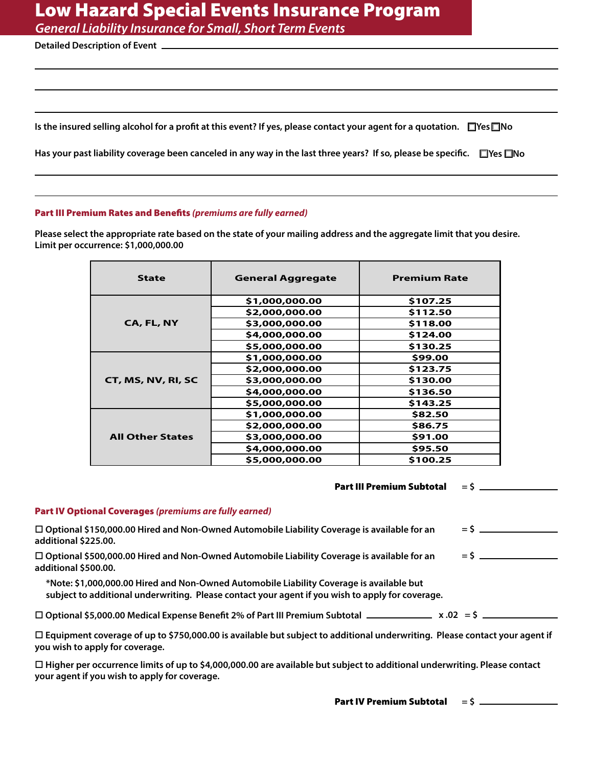*General Liability Insurance for Small, Short Term Events*

**Detailed Description of Event**

Is the insured selling alcohol for a profit at this event? If yes, please contact your agent for a quotation.  $\Box$ Yes $\Box$ No

Has your past liability coverage been canceled in any way in the last three years? If so, please be specific. □Yes □No

#### Part III Premium Rates and Benefits *(premiums are fully earned)*

Please select the appropriate rate based on the state of your mailing address and the aggregate limit that you desire. **Limit per occurrence: \$1,000,000.00**

| <b>State</b>            | <b>General Aggregate</b> | <b>Premium Rate</b> |
|-------------------------|--------------------------|---------------------|
|                         | \$1,000,000.00           | \$107.25            |
| CA, FL, NY              | \$2,000,000.00           | \$112.50            |
|                         | \$3,000,000.00           | \$118.00            |
|                         | \$4,000,000.00           | \$124.00            |
|                         | \$5,000,000.00           | \$130.25            |
|                         | \$1,000,000.00           | \$99.00             |
| CT, MS, NV, RI, SC      | \$2,000,000.00           | \$123.75            |
|                         | \$3,000,000.00           | \$130.00            |
|                         | \$4,000,000.00           | \$136.50            |
|                         | \$5,000,000.00           | \$143.25            |
|                         | \$1,000,000.00           | \$82.50             |
| <b>All Other States</b> | \$2,000,000.00           | \$86.75             |
|                         | \$3,000,000.00           | \$91.00             |
|                         | \$4,000,000.00           | \$95.50             |
|                         | \$5,000,000.00           | \$100.25            |

| <b>Part IV Optional Coverages (premiums are fully earned)</b>                                                                                                        |                 |
|----------------------------------------------------------------------------------------------------------------------------------------------------------------------|-----------------|
|                                                                                                                                                                      |                 |
| $\Box$ Optional \$150,000.00 Hired and Non-Owned Automobile Liability Coverage is available for an                                                                   | $=$ \$ $\qquad$ |
| additional \$225.00.                                                                                                                                                 |                 |
| $\Box$ Optional \$500,000.00 Hired and Non-Owned Automobile Liability Coverage is available for an                                                                   |                 |
| additional \$500.00.                                                                                                                                                 |                 |
| *Note: \$1,000,000.00 Hired and Non-Owned Automobile Liability Coverage is available but                                                                             |                 |
| subject to additional underwriting. Please contact your agent if you wish to apply for coverage.                                                                     |                 |
|                                                                                                                                                                      |                 |
|                                                                                                                                                                      |                 |
| $\Box$ Equipment coverage of up to \$750,000.00 is available but subject to additional underwriting. Please contact your agent if<br>you wish to apply for coverage. |                 |
|                                                                                                                                                                      |                 |

□ Higher per occurrence limits of up to \$4,000,000.00 are available but subject to additional underwriting. Please contact **your agent if you wish to apply for coverage.**

Part IV Premium Subtotal **= \$**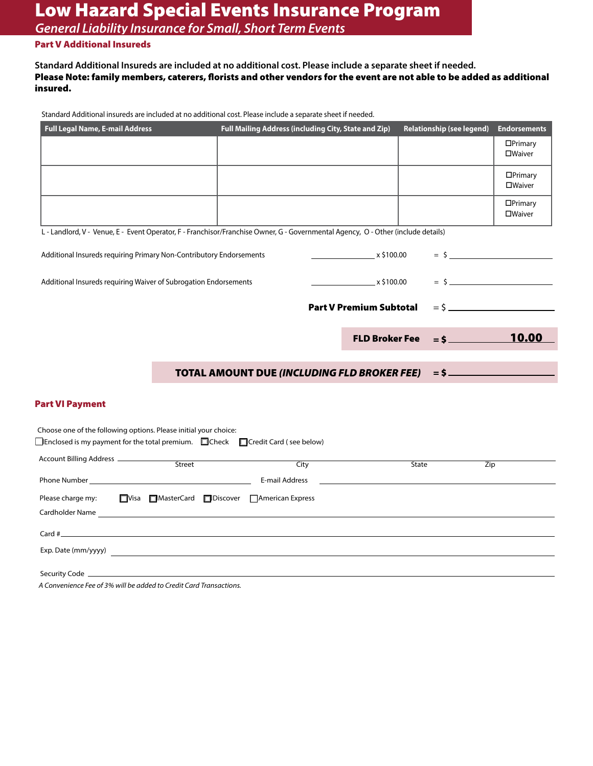*General Liability Insurance for Small, Short Term Events*

# Part V Additional Insureds

**Standard Additional Insureds are included at no additional cost. Please include a separate sheet if needed.**  Please Note: family members, caterers, florists and other vendors for the event are not able to be added as additional insured.

Standard Additional insureds are included at no additional cost. Please include a separate sheet if needed.

| <b>Full Legal Name, E-mail Address</b>                                                                                                                               |                                                   | Full Mailing Address (including City, State and Zip) |                                |              | <b>Relationship (see legend)</b> | <b>Endorsements</b>       |
|----------------------------------------------------------------------------------------------------------------------------------------------------------------------|---------------------------------------------------|------------------------------------------------------|--------------------------------|--------------|----------------------------------|---------------------------|
|                                                                                                                                                                      |                                                   |                                                      |                                |              |                                  | $\Box$ Primary<br>□Waiver |
|                                                                                                                                                                      |                                                   |                                                      |                                |              |                                  | DPrimary<br>□Waiver       |
|                                                                                                                                                                      |                                                   |                                                      |                                |              |                                  | $\Box$ Primary<br>□Waiver |
| L - Landlord, V - Venue, E - Event Operator, F - Franchisor/Franchise Owner, G - Governmental Agency, O - Other (include details)                                    |                                                   |                                                      |                                |              |                                  |                           |
| Additional Insureds requiring Primary Non-Contributory Endorsements                                                                                                  |                                                   |                                                      | $\frac{1}{2}$ x \$100.00       |              |                                  |                           |
| Additional Insureds requiring Waiver of Subrogation Endorsements                                                                                                     |                                                   |                                                      | $\frac{1}{2}$ x \$100.00       |              |                                  | $=$ \$                    |
|                                                                                                                                                                      |                                                   |                                                      | <b>Part V Premium Subtotal</b> |              |                                  |                           |
|                                                                                                                                                                      |                                                   |                                                      | <b>FLD Broker Fee</b>          |              |                                  | <b>10.00</b>              |
|                                                                                                                                                                      |                                                   | <b>TOTAL AMOUNT DUE (INCLUDING FLD BROKER FEE)</b>   |                                |              | $=$ \$                           |                           |
| <b>Part VI Payment</b>                                                                                                                                               |                                                   |                                                      |                                |              |                                  |                           |
| Choose one of the following options. Please initial your choice:<br>$\Box$ Enclosed is my payment for the total premium. $\Box$ Check $\Box$ Credit Card (see below) |                                                   |                                                      |                                |              |                                  |                           |
|                                                                                                                                                                      |                                                   | City                                                 |                                | <b>State</b> |                                  | Zip                       |
|                                                                                                                                                                      |                                                   |                                                      |                                |              |                                  |                           |
| Please charge my:                                                                                                                                                    | ■ Visa ■ MasterCard ■ Discover ■ American Express |                                                      |                                |              |                                  |                           |
| Card $\#$                                                                                                                                                            |                                                   |                                                      |                                |              |                                  |                           |
|                                                                                                                                                                      |                                                   |                                                      |                                |              |                                  |                           |
|                                                                                                                                                                      |                                                   |                                                      |                                |              |                                  |                           |

*A Convenience Fee of 3% will be added to Credit Card Transactions.*